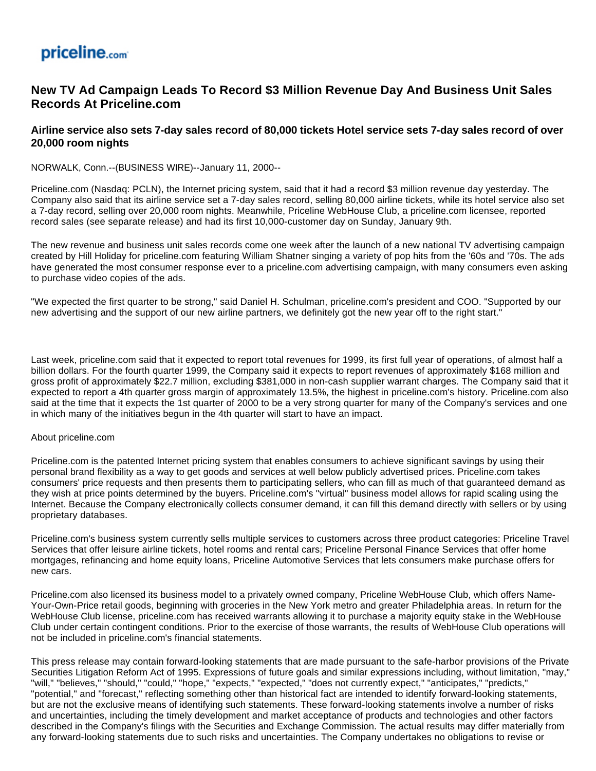## priceline.com

## **New TV Ad Campaign Leads To Record \$3 Million Revenue Day And Business Unit Sales Records At Priceline.com**

## **Airline service also sets 7-day sales record of 80,000 tickets Hotel service sets 7-day sales record of over 20,000 room nights**

NORWALK, Conn.--(BUSINESS WIRE)--January 11, 2000--

Priceline.com (Nasdaq: PCLN), the Internet pricing system, said that it had a record \$3 million revenue day yesterday. The Company also said that its airline service set a 7-day sales record, selling 80,000 airline tickets, while its hotel service also set a 7-day record, selling over 20,000 room nights. Meanwhile, Priceline WebHouse Club, a priceline.com licensee, reported record sales (see separate release) and had its first 10,000-customer day on Sunday, January 9th.

The new revenue and business unit sales records come one week after the launch of a new national TV advertising campaign created by Hill Holiday for priceline.com featuring William Shatner singing a variety of pop hits from the '60s and '70s. The ads have generated the most consumer response ever to a priceline.com advertising campaign, with many consumers even asking to purchase video copies of the ads.

"We expected the first quarter to be strong," said Daniel H. Schulman, priceline.com's president and COO. "Supported by our new advertising and the support of our new airline partners, we definitely got the new year off to the right start."

Last week, priceline.com said that it expected to report total revenues for 1999, its first full year of operations, of almost half a billion dollars. For the fourth quarter 1999, the Company said it expects to report revenues of approximately \$168 million and gross profit of approximately \$22.7 million, excluding \$381,000 in non-cash supplier warrant charges. The Company said that it expected to report a 4th quarter gross margin of approximately 13.5%, the highest in priceline.com's history. Priceline.com also said at the time that it expects the 1st quarter of 2000 to be a very strong quarter for many of the Company's services and one in which many of the initiatives begun in the 4th quarter will start to have an impact.

## About priceline.com

Priceline.com is the patented Internet pricing system that enables consumers to achieve significant savings by using their personal brand flexibility as a way to get goods and services at well below publicly advertised prices. Priceline.com takes consumers' price requests and then presents them to participating sellers, who can fill as much of that guaranteed demand as they wish at price points determined by the buyers. Priceline.com's "virtual" business model allows for rapid scaling using the Internet. Because the Company electronically collects consumer demand, it can fill this demand directly with sellers or by using proprietary databases.

Priceline.com's business system currently sells multiple services to customers across three product categories: Priceline Travel Services that offer leisure airline tickets, hotel rooms and rental cars; Priceline Personal Finance Services that offer home mortgages, refinancing and home equity loans, Priceline Automotive Services that lets consumers make purchase offers for new cars.

Priceline.com also licensed its business model to a privately owned company, Priceline WebHouse Club, which offers Name-Your-Own-Price retail goods, beginning with groceries in the New York metro and greater Philadelphia areas. In return for the WebHouse Club license, priceline.com has received warrants allowing it to purchase a majority equity stake in the WebHouse Club under certain contingent conditions. Prior to the exercise of those warrants, the results of WebHouse Club operations will not be included in priceline.com's financial statements.

This press release may contain forward-looking statements that are made pursuant to the safe-harbor provisions of the Private Securities Litigation Reform Act of 1995. Expressions of future goals and similar expressions including, without limitation, "may," "will," "believes," "should," "could," "hope," "expects," "expected," "does not currently expect," "anticipates," "predicts," "potential," and "forecast," reflecting something other than historical fact are intended to identify forward-looking statements, but are not the exclusive means of identifying such statements. These forward-looking statements involve a number of risks and uncertainties, including the timely development and market acceptance of products and technologies and other factors described in the Company's filings with the Securities and Exchange Commission. The actual results may differ materially from any forward-looking statements due to such risks and uncertainties. The Company undertakes no obligations to revise or